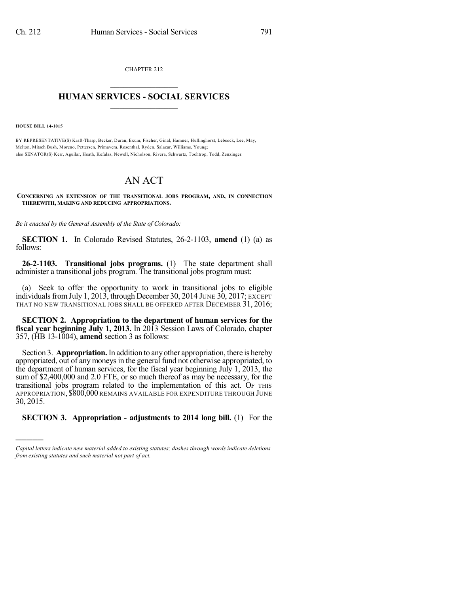CHAPTER 212  $\mathcal{L}_\text{max}$  . The set of the set of the set of the set of the set of the set of the set of the set of the set of the set of the set of the set of the set of the set of the set of the set of the set of the set of the set

## **HUMAN SERVICES - SOCIAL SERVICES**  $\frac{1}{2}$  ,  $\frac{1}{2}$  ,  $\frac{1}{2}$  ,  $\frac{1}{2}$  ,  $\frac{1}{2}$  ,  $\frac{1}{2}$

**HOUSE BILL 14-1015**

)))))

BY REPRESENTATIVE(S) Kraft-Tharp, Becker, Duran, Exum, Fischer, Ginal, Hamner, Hullinghorst, Lebsock, Lee, May, Melton, Mitsch Bush, Moreno, Pettersen, Primavera, Rosenthal, Ryden, Salazar, Williams, Young; also SENATOR(S) Kerr, Aguilar, Heath, Kefalas, Newell, Nicholson, Rivera, Schwartz, Tochtrop, Todd, Zenzinger.

## AN ACT

**CONCERNING AN EXTENSION OF THE TRANSITIONAL JOBS PROGRAM, AND, IN CONNECTION THEREWITH, MAKING AND REDUCING APPROPRIATIONS.**

*Be it enacted by the General Assembly of the State of Colorado:*

**SECTION 1.** In Colorado Revised Statutes, 26-2-1103, **amend** (1) (a) as follows:

**26-2-1103. Transitional jobs programs.** (1) The state department shall administer a transitional jobs program. The transitional jobs program must:

(a) Seek to offer the opportunity to work in transitional jobs to eligible individuals from July 1, 2013, through December 30, 2014 JUNE 30, 2017; EXCEPT THAT NO NEW TRANSITIONAL JOBS SHALL BE OFFERED AFTER DECEMBER 31, 2016;

**SECTION 2. Appropriation to the department of human services for the fiscal year beginning July 1, 2013.** In 2013 Session Laws of Colorado, chapter 357, (HB 13-1004), **amend** section 3 as follows:

Section 3. **Appropriation.**In addition to anyother appropriation, there is hereby appropriated, out of any moneys in the general fund not otherwise appropriated, to the department of human services, for the fiscal year beginning July 1, 2013, the sum of \$2,400,000 and 2.0 FTE, or so much thereof as may be necessary, for the transitional jobs program related to the implementation of this act. OF THIS APPROPRIATION, \$800,000 REMAINS AVAILABLE FOR EXPENDITURE THROUGH JUNE 30, 2015.

## **SECTION 3. Appropriation - adjustments to 2014 long bill.** (1) For the

*Capital letters indicate new material added to existing statutes; dashes through words indicate deletions from existing statutes and such material not part of act.*